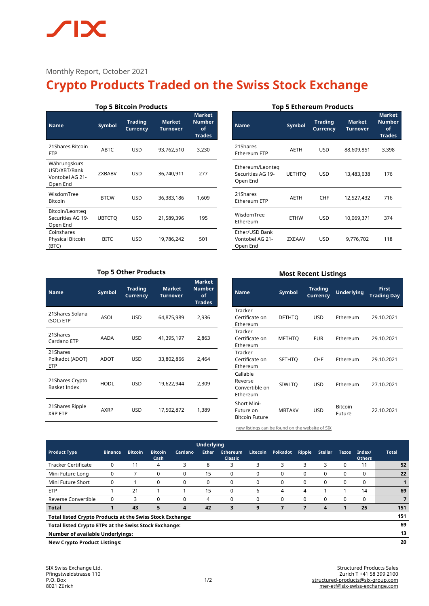Monthly Report, October 2021

# **Crypto Products Traded on the Swiss Stock Exchange**

# **Top 5 Bitcoin Products**

| <b>Name</b>                                                 | Symbol        | <b>Trading</b><br><b>Currency</b> | <b>Market</b><br>Turnover | <b>Market</b><br><b>Number</b><br>οf<br><b>Trades</b> |
|-------------------------------------------------------------|---------------|-----------------------------------|---------------------------|-------------------------------------------------------|
| 21 Shares Bitcoin<br><b>ETP</b>                             | <b>ABTC</b>   | USD                               | 93,762,510                | 3,230                                                 |
| Währungskurs<br>USD/XBT/Bank<br>Vontobel AG 21-<br>Open End | <b>ZXBABV</b> | USD                               | 36,740,911                | 277                                                   |
| WisdomTree<br><b>Bitcoin</b>                                | <b>BTCW</b>   | USD                               | 36,383,186                | 1,609                                                 |
| Bitcoin/Leonteg<br>Securities AG 19-<br>Open End            | <b>UBTCTO</b> | USD                               | 21,589,396                | 195                                                   |
| Coinshares<br><b>Physical Bitcoin</b><br>(BTC)              | <b>BITC</b>   | USD                               | 19,786,242                | 501                                                   |

# **Top 5 Ethereum Products**

| <b>Name</b>                                       | <b>Symbol</b> | <b>Trading</b><br><b>Currency</b> | <b>Market</b><br><b>Turnover</b> | <b>Market</b><br><b>Number</b><br>of<br><b>Trades</b> |
|---------------------------------------------------|---------------|-----------------------------------|----------------------------------|-------------------------------------------------------|
| 21Shares<br>Ethereum ETP                          | <b>AETH</b>   | <b>USD</b>                        | 88,609,851                       | 3,398                                                 |
| Ethereum/Leonteg<br>Securities AG 19-<br>Open End | <b>UETHTO</b> | <b>USD</b>                        | 13,483,638                       | 176                                                   |
| 21Shares<br>Ethereum ETP                          | <b>AETH</b>   | CHF                               | 12,527,432                       | 716                                                   |
| WisdomTree<br>Ethereum                            | <b>ETHW</b>   | <b>USD</b>                        | 10,069,371                       | 374                                                   |
| Ether/USD Bank<br>Vontobel AG 21-<br>Open End     | ZXEAAV        | <b>USD</b>                        | 9,776,702                        | 118                                                   |

# **Top 5 Other Products**

| <b>Name</b>                               | Symbol      | <b>Trading</b><br>Currency | <b>Market</b><br><b>Turnover</b> | <b>Market</b><br><b>Number</b><br>of<br><b>Trades</b> |
|-------------------------------------------|-------------|----------------------------|----------------------------------|-------------------------------------------------------|
| 21Shares Solana<br>(SOL) ETP              | ASOL        | <b>USD</b>                 | 64,875,989                       | 2,936                                                 |
| 21Shares<br>Cardano ETP                   | AADA        | <b>USD</b>                 | 41,395,197                       | 2,863                                                 |
| 21Shares<br>Polkadot (ADOT)<br><b>ETP</b> | ADOT        | <b>USD</b>                 | 33,802,866                       | 2,464                                                 |
| 21 Shares Crypto<br><b>Basket Index</b>   | <b>HODL</b> | <b>USD</b>                 | 19,622,944                       | 2,309                                                 |
| 21 Shares Ripple<br><b>XRP ETP</b>        | <b>AXRP</b> | <b>USD</b>                 | 17,502,872                       | 1,389                                                 |

# **Most Recent Listings**

| <b>Name</b>                                              | <b>Symbol</b> | <b>Trading</b><br><b>Currency</b> | <b>Underlying</b>        | <b>First</b><br><b>Trading Day</b> |
|----------------------------------------------------------|---------------|-----------------------------------|--------------------------|------------------------------------|
| Tracker<br>Certificate on<br>Ethereum                    | DETHTO        | USD                               | Ethereum                 | 29.10.2021                         |
| Tracker<br>Certificate on<br>Ethereum                    | <b>METHTO</b> | <b>EUR</b>                        | Ethereum                 | 29.10.2021                         |
| Tracker<br>Certificate on<br>Ethereum                    | <b>SETHTO</b> | <b>CHF</b>                        | Ethereum                 | 29.10.2021                         |
| Callable<br>Reverse<br>Convertible on<br>Ethereum        | <b>SIWLTQ</b> | USD                               | Ethereum                 | 27.10.2021                         |
| <b>Short Mini-</b><br>Future on<br><b>Bitcoin Future</b> | <b>MBTAKV</b> | USD                               | <b>Bitcoin</b><br>Future | 22.10.2021                         |

[new listings can be found on the website of SIX](https://www.six-structured-products.com/de/suche/Krypto%20Produkte)

| <b>Underlying</b>                                                |                |                |                        |          |              |                            |                 |          |          |                |              |                         |              |
|------------------------------------------------------------------|----------------|----------------|------------------------|----------|--------------|----------------------------|-----------------|----------|----------|----------------|--------------|-------------------------|--------------|
| <b>Product Type</b>                                              | <b>Binance</b> | <b>Bitcoin</b> | <b>Bitcoin</b><br>Cash | Cardano  | <b>Ether</b> | <b>Ethereum</b><br>Classic | <b>Litecoin</b> | Polkadot | Ripple   | <b>Stellar</b> | <b>Tezos</b> | Index/<br><b>Others</b> | <b>Total</b> |
| <b>Tracker Certificate</b>                                       | $\Omega$       | 11             | 4                      | 3        | 8            | 3                          | 3               | 3        | 3        | 3              | 0            | 11                      | 52           |
| Mini Future Long                                                 | 0              |                | 0                      | 0        | 15           | 0                          | $\Omega$        | 0        | $\Omega$ | $\Omega$       | 0            | 0                       | 22           |
| Mini Future Short                                                | 0              |                | $\Omega$               | 0        | 0            | 0                          | $\Omega$        | 0        | 0        | 0              | 0            | 0                       |              |
| <b>ETP</b>                                                       |                | 21             |                        |          | 15           | 0                          | 6               | 4        | 4        |                |              | 14                      | 69           |
| Reverse Convertible                                              | $\Omega$       | 3              | $\Omega$               | $\Omega$ | 4            | $\Omega$                   | $\Omega$        | $\Omega$ | 0        | $\Omega$       | $\Omega$     | $\Omega$                | 7            |
| <b>Total</b>                                                     |                | 43             | 5                      | 4        | 42           | 3                          | 9               | 7        |          | 4              |              | 25                      | 151          |
| <b>Total listed Crypto Products at the Swiss Stock Exchange:</b> |                |                |                        |          |              |                            |                 | 151      |          |                |              |                         |              |
| 69<br>Total listed Crypto ETPs at the Swiss Stock Exchange:      |                |                |                        |          |              |                            |                 |          |          |                |              |                         |              |
| 13<br><b>Number of available Underlyings:</b>                    |                |                |                        |          |              |                            |                 |          |          |                |              |                         |              |
| <b>New Crypto Product Listings:</b>                              |                |                |                        |          |              |                            |                 | 20       |          |                |              |                         |              |